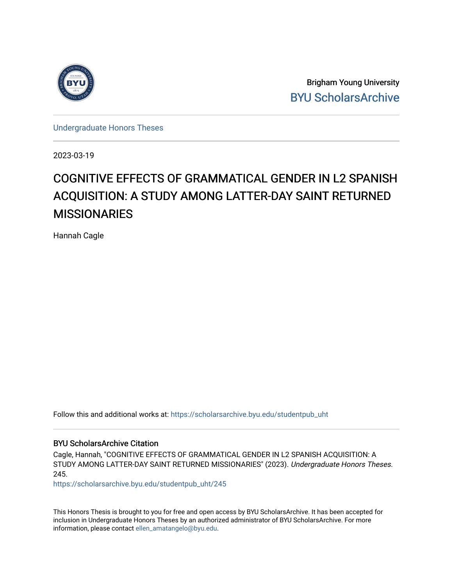

Brigham Young University [BYU ScholarsArchive](https://scholarsarchive.byu.edu/) 

[Undergraduate Honors Theses](https://scholarsarchive.byu.edu/studentpub_uht) 

2023-03-19

# COGNITIVE EFFECTS OF GRAMMATICAL GENDER IN L2 SPANISH ACQUISITION: A STUDY AMONG LATTER-DAY SAINT RETURNED **MISSIONARIES**

Hannah Cagle

Follow this and additional works at: [https://scholarsarchive.byu.edu/studentpub\\_uht](https://scholarsarchive.byu.edu/studentpub_uht?utm_source=scholarsarchive.byu.edu%2Fstudentpub_uht%2F245&utm_medium=PDF&utm_campaign=PDFCoverPages) 

### BYU ScholarsArchive Citation

Cagle, Hannah, "COGNITIVE EFFECTS OF GRAMMATICAL GENDER IN L2 SPANISH ACQUISITION: A STUDY AMONG LATTER-DAY SAINT RETURNED MISSIONARIES" (2023). Undergraduate Honors Theses. 245.

[https://scholarsarchive.byu.edu/studentpub\\_uht/245](https://scholarsarchive.byu.edu/studentpub_uht/245?utm_source=scholarsarchive.byu.edu%2Fstudentpub_uht%2F245&utm_medium=PDF&utm_campaign=PDFCoverPages)

This Honors Thesis is brought to you for free and open access by BYU ScholarsArchive. It has been accepted for inclusion in Undergraduate Honors Theses by an authorized administrator of BYU ScholarsArchive. For more information, please contact [ellen\\_amatangelo@byu.edu.](mailto:ellen_amatangelo@byu.edu)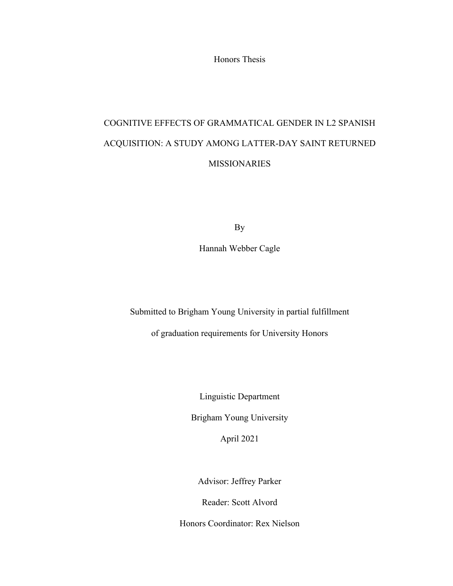Honors Thesis

# COGNITIVE EFFECTS OF GRAMMATICAL GENDER IN L2 SPANISH ACQUISITION: A STUDY AMONG LATTER-DAY SAINT RETURNED **MISSIONARIES**

By

Hannah Webber Cagle

Submitted to Brigham Young University in partial fulfillment

of graduation requirements for University Honors

Linguistic Department

Brigham Young University

April 2021

Advisor: Jeffrey Parker

Reader: Scott Alvord

Honors Coordinator: Rex Nielson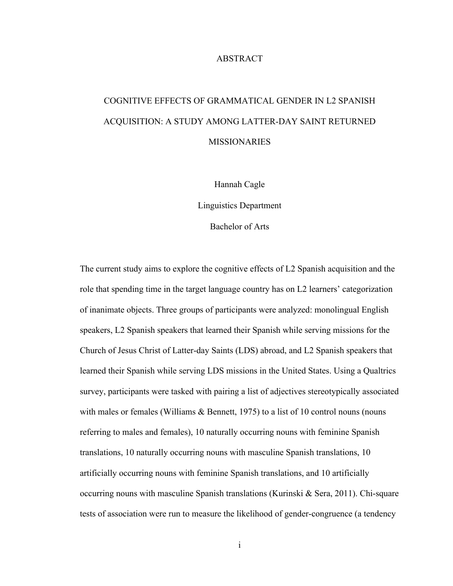# ABSTRACT

# COGNITIVE EFFECTS OF GRAMMATICAL GENDER IN L2 SPANISH ACQUISITION: A STUDY AMONG LATTER-DAY SAINT RETURNED MISSIONARIES

Hannah Cagle

Linguistics Department

Bachelor of Arts

The current study aims to explore the cognitive effects of L2 Spanish acquisition and the role that spending time in the target language country has on L2 learners' categorization of inanimate objects. Three groups of participants were analyzed: monolingual English speakers, L2 Spanish speakers that learned their Spanish while serving missions for the Church of Jesus Christ of Latter-day Saints (LDS) abroad, and L2 Spanish speakers that learned their Spanish while serving LDS missions in the United States. Using a Qualtrics survey, participants were tasked with pairing a list of adjectives stereotypically associated with males or females (Williams & Bennett, 1975) to a list of 10 control nouns (nouns referring to males and females), 10 naturally occurring nouns with feminine Spanish translations, 10 naturally occurring nouns with masculine Spanish translations, 10 artificially occurring nouns with feminine Spanish translations, and 10 artificially occurring nouns with masculine Spanish translations (Kurinski & Sera, 2011). Chi-square tests of association were run to measure the likelihood of gender-congruence (a tendency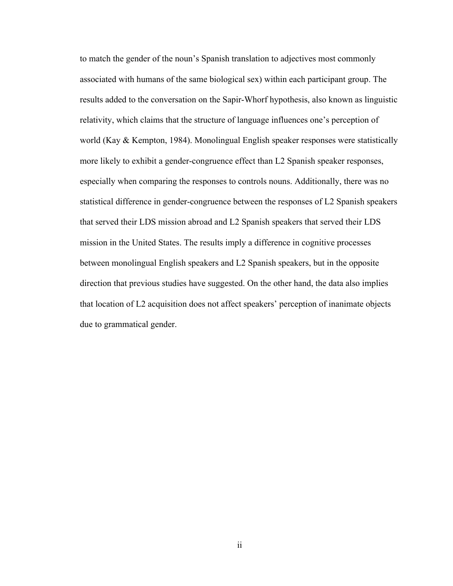to match the gender of the noun's Spanish translation to adjectives most commonly associated with humans of the same biological sex) within each participant group. The results added to the conversation on the Sapir-Whorf hypothesis, also known as linguistic relativity, which claims that the structure of language influences one's perception of world (Kay & Kempton, 1984). Monolingual English speaker responses were statistically more likely to exhibit a gender-congruence effect than L2 Spanish speaker responses, especially when comparing the responses to controls nouns. Additionally, there was no statistical difference in gender-congruence between the responses of L2 Spanish speakers that served their LDS mission abroad and L2 Spanish speakers that served their LDS mission in the United States. The results imply a difference in cognitive processes between monolingual English speakers and L2 Spanish speakers, but in the opposite direction that previous studies have suggested. On the other hand, the data also implies that location of L2 acquisition does not affect speakers' perception of inanimate objects due to grammatical gender.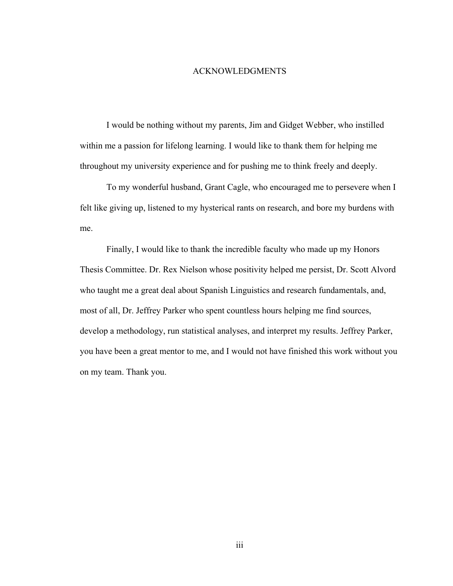# ACKNOWLEDGMENTS

I would be nothing without my parents, Jim and Gidget Webber, who instilled within me a passion for lifelong learning. I would like to thank them for helping me throughout my university experience and for pushing me to think freely and deeply.

To my wonderful husband, Grant Cagle, who encouraged me to persevere when I felt like giving up, listened to my hysterical rants on research, and bore my burdens with me.

Finally, I would like to thank the incredible faculty who made up my Honors Thesis Committee. Dr. Rex Nielson whose positivity helped me persist, Dr. Scott Alvord who taught me a great deal about Spanish Linguistics and research fundamentals, and, most of all, Dr. Jeffrey Parker who spent countless hours helping me find sources, develop a methodology, run statistical analyses, and interpret my results. Jeffrey Parker, you have been a great mentor to me, and I would not have finished this work without you on my team. Thank you.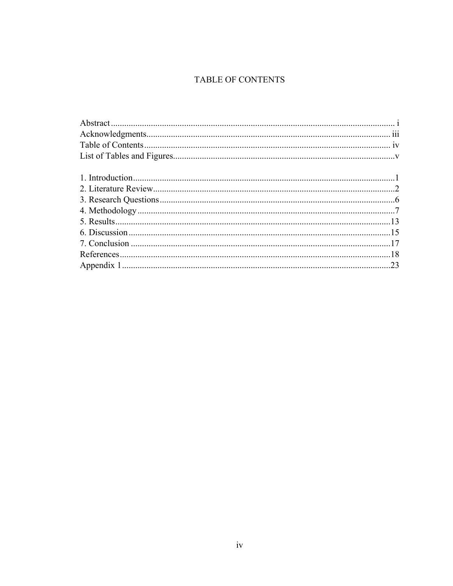# TABLE OF CONTENTS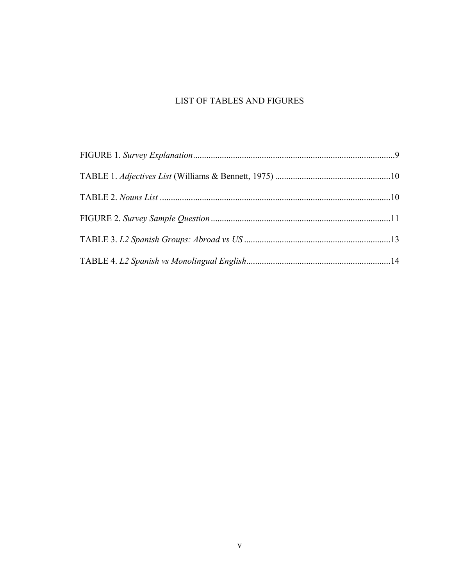# LIST OF TABLES AND FIGURES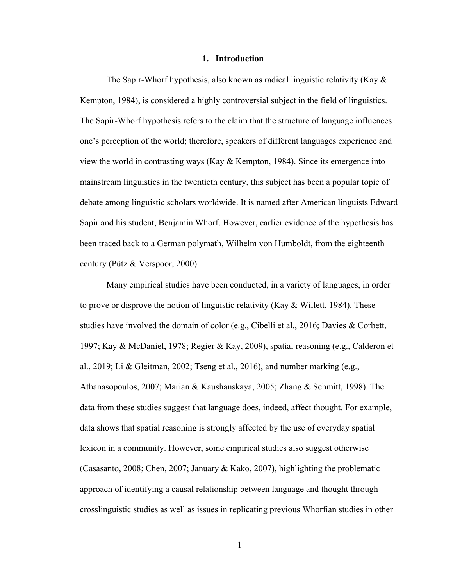### **1. Introduction**

The Sapir-Whorf hypothesis, also known as radical linguistic relativity (Kay & Kempton, 1984), is considered a highly controversial subject in the field of linguistics. The Sapir-Whorf hypothesis refers to the claim that the structure of language influences one's perception of the world; therefore, speakers of different languages experience and view the world in contrasting ways (Kay & Kempton, 1984). Since its emergence into mainstream linguistics in the twentieth century, this subject has been a popular topic of debate among linguistic scholars worldwide. It is named after American linguists Edward Sapir and his student, Benjamin Whorf. However, earlier evidence of the hypothesis has been traced back to a German polymath, Wilhelm von Humboldt, from the eighteenth century (Pütz & Verspoor, 2000).

Many empirical studies have been conducted, in a variety of languages, in order to prove or disprove the notion of linguistic relativity (Kay & Willett, 1984). These studies have involved the domain of color (e.g., Cibelli et al., 2016; Davies & Corbett, 1997; Kay & McDaniel, 1978; Regier & Kay, 2009), spatial reasoning (e.g., Calderon et al., 2019; Li & Gleitman, 2002; Tseng et al., 2016), and number marking (e.g., Athanasopoulos, 2007; Marian & Kaushanskaya, 2005; Zhang & Schmitt, 1998). The data from these studies suggest that language does, indeed, affect thought. For example, data shows that spatial reasoning is strongly affected by the use of everyday spatial lexicon in a community. However, some empirical studies also suggest otherwise (Casasanto, 2008; Chen, 2007; January & Kako, 2007), highlighting the problematic approach of identifying a causal relationship between language and thought through crosslinguistic studies as well as issues in replicating previous Whorfian studies in other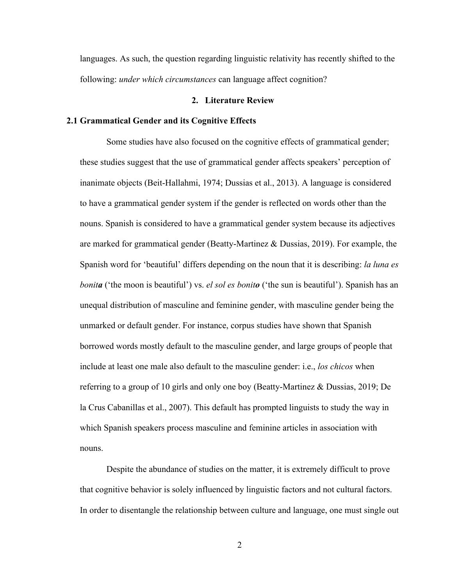languages. As such, the question regarding linguistic relativity has recently shifted to the following: *under which circumstances* can language affect cognition?

# **2. Literature Review**

#### **2.1 Grammatical Gender and its Cognitive Effects**

Some studies have also focused on the cognitive effects of grammatical gender; these studies suggest that the use of grammatical gender affects speakers' perception of inanimate objects (Beit-Hallahmi, 1974; Dussias et al., 2013). A language is considered to have a grammatical gender system if the gender is reflected on words other than the nouns. Spanish is considered to have a grammatical gender system because its adjectives are marked for grammatical gender (Beatty-Martinez & Dussias, 2019). For example, the Spanish word for 'beautiful' differs depending on the noun that it is describing: *la luna es bonita* ('the moon is beautiful') vs. *el sol es bonito* ('the sun is beautiful'). Spanish has an unequal distribution of masculine and feminine gender, with masculine gender being the unmarked or default gender. For instance, corpus studies have shown that Spanish borrowed words mostly default to the masculine gender, and large groups of people that include at least one male also default to the masculine gender: i.e., *los chicos* when referring to a group of 10 girls and only one boy (Beatty-Martinez & Dussias, 2019; De la Crus Cabanillas et al., 2007). This default has prompted linguists to study the way in which Spanish speakers process masculine and feminine articles in association with nouns.

Despite the abundance of studies on the matter, it is extremely difficult to prove that cognitive behavior is solely influenced by linguistic factors and not cultural factors. In order to disentangle the relationship between culture and language, one must single out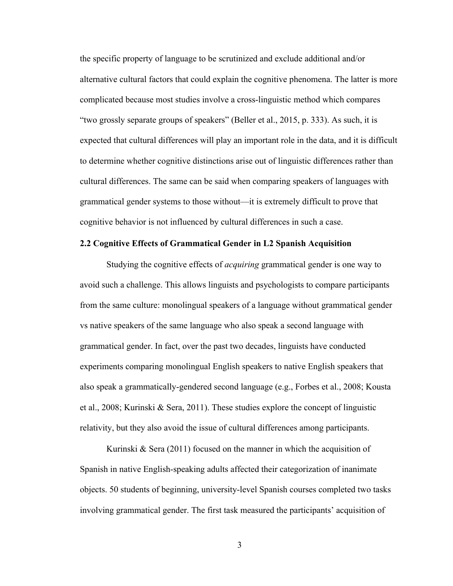the specific property of language to be scrutinized and exclude additional and/or alternative cultural factors that could explain the cognitive phenomena. The latter is more complicated because most studies involve a cross-linguistic method which compares "two grossly separate groups of speakers" (Beller et al., 2015, p. 333). As such, it is expected that cultural differences will play an important role in the data, and it is difficult to determine whether cognitive distinctions arise out of linguistic differences rather than cultural differences. The same can be said when comparing speakers of languages with grammatical gender systems to those without—it is extremely difficult to prove that cognitive behavior is not influenced by cultural differences in such a case.

# **2.2 Cognitive Effects of Grammatical Gender in L2 Spanish Acquisition**

Studying the cognitive effects of *acquiring* grammatical gender is one way to avoid such a challenge. This allows linguists and psychologists to compare participants from the same culture: monolingual speakers of a language without grammatical gender vs native speakers of the same language who also speak a second language with grammatical gender. In fact, over the past two decades, linguists have conducted experiments comparing monolingual English speakers to native English speakers that also speak a grammatically-gendered second language (e.g., Forbes et al., 2008; Kousta et al., 2008; Kurinski & Sera, 2011). These studies explore the concept of linguistic relativity, but they also avoid the issue of cultural differences among participants.

Kurinski & Sera (2011) focused on the manner in which the acquisition of Spanish in native English-speaking adults affected their categorization of inanimate objects. 50 students of beginning, university-level Spanish courses completed two tasks involving grammatical gender. The first task measured the participants' acquisition of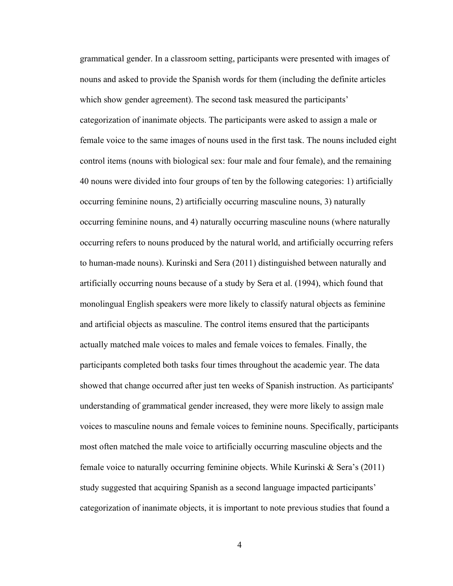grammatical gender. In a classroom setting, participants were presented with images of nouns and asked to provide the Spanish words for them (including the definite articles which show gender agreement). The second task measured the participants' categorization of inanimate objects. The participants were asked to assign a male or female voice to the same images of nouns used in the first task. The nouns included eight control items (nouns with biological sex: four male and four female), and the remaining 40 nouns were divided into four groups of ten by the following categories: 1) artificially occurring feminine nouns, 2) artificially occurring masculine nouns, 3) naturally occurring feminine nouns, and 4) naturally occurring masculine nouns (where naturally occurring refers to nouns produced by the natural world, and artificially occurring refers to human-made nouns). Kurinski and Sera (2011) distinguished between naturally and artificially occurring nouns because of a study by Sera et al. (1994), which found that monolingual English speakers were more likely to classify natural objects as feminine and artificial objects as masculine. The control items ensured that the participants actually matched male voices to males and female voices to females. Finally, the participants completed both tasks four times throughout the academic year. The data showed that change occurred after just ten weeks of Spanish instruction. As participants' understanding of grammatical gender increased, they were more likely to assign male voices to masculine nouns and female voices to feminine nouns. Specifically, participants most often matched the male voice to artificially occurring masculine objects and the female voice to naturally occurring feminine objects. While Kurinski  $\&$  Sera's (2011) study suggested that acquiring Spanish as a second language impacted participants' categorization of inanimate objects, it is important to note previous studies that found a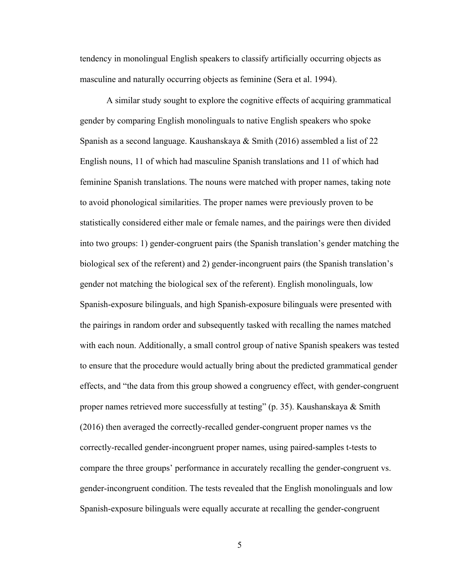tendency in monolingual English speakers to classify artificially occurring objects as masculine and naturally occurring objects as feminine (Sera et al. 1994).

A similar study sought to explore the cognitive effects of acquiring grammatical gender by comparing English monolinguals to native English speakers who spoke Spanish as a second language. Kaushanskaya & Smith (2016) assembled a list of 22 English nouns, 11 of which had masculine Spanish translations and 11 of which had feminine Spanish translations. The nouns were matched with proper names, taking note to avoid phonological similarities. The proper names were previously proven to be statistically considered either male or female names, and the pairings were then divided into two groups: 1) gender-congruent pairs (the Spanish translation's gender matching the biological sex of the referent) and 2) gender-incongruent pairs (the Spanish translation's gender not matching the biological sex of the referent). English monolinguals, low Spanish-exposure bilinguals, and high Spanish-exposure bilinguals were presented with the pairings in random order and subsequently tasked with recalling the names matched with each noun. Additionally, a small control group of native Spanish speakers was tested to ensure that the procedure would actually bring about the predicted grammatical gender effects, and "the data from this group showed a congruency effect, with gender-congruent proper names retrieved more successfully at testing" (p. 35). Kaushanskaya & Smith (2016) then averaged the correctly-recalled gender-congruent proper names vs the correctly-recalled gender-incongruent proper names, using paired-samples t-tests to compare the three groups' performance in accurately recalling the gender-congruent vs. gender-incongruent condition. The tests revealed that the English monolinguals and low Spanish-exposure bilinguals were equally accurate at recalling the gender-congruent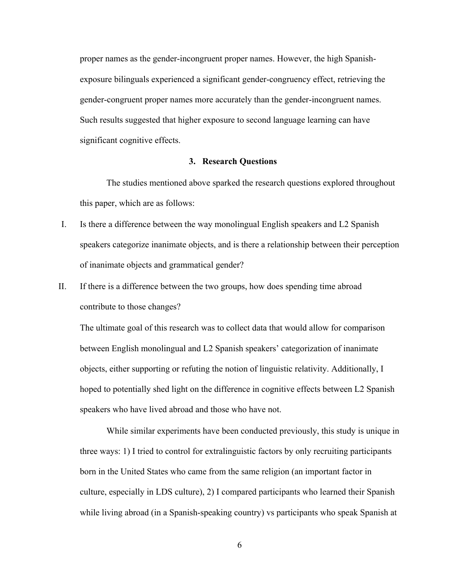proper names as the gender-incongruent proper names. However, the high Spanishexposure bilinguals experienced a significant gender-congruency effect, retrieving the gender-congruent proper names more accurately than the gender-incongruent names. Such results suggested that higher exposure to second language learning can have significant cognitive effects.

#### **3. Research Questions**

The studies mentioned above sparked the research questions explored throughout this paper, which are as follows:

- I. Is there a difference between the way monolingual English speakers and L2 Spanish speakers categorize inanimate objects, and is there a relationship between their perception of inanimate objects and grammatical gender?
- II. If there is a difference between the two groups, how does spending time abroad contribute to those changes?

The ultimate goal of this research was to collect data that would allow for comparison between English monolingual and L2 Spanish speakers' categorization of inanimate objects, either supporting or refuting the notion of linguistic relativity. Additionally, I hoped to potentially shed light on the difference in cognitive effects between L2 Spanish speakers who have lived abroad and those who have not.

While similar experiments have been conducted previously, this study is unique in three ways: 1) I tried to control for extralinguistic factors by only recruiting participants born in the United States who came from the same religion (an important factor in culture, especially in LDS culture), 2) I compared participants who learned their Spanish while living abroad (in a Spanish-speaking country) vs participants who speak Spanish at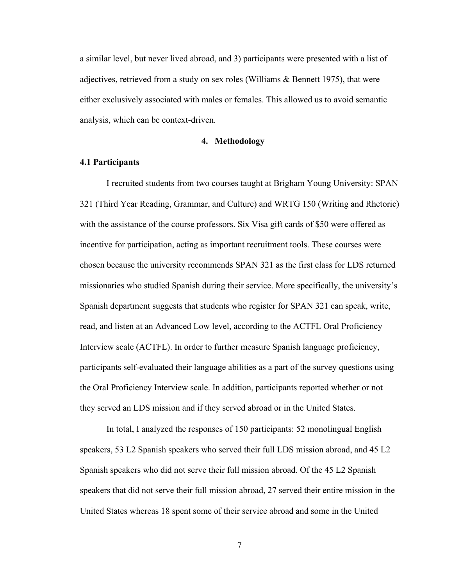a similar level, but never lived abroad, and 3) participants were presented with a list of adjectives, retrieved from a study on sex roles (Williams & Bennett 1975), that were either exclusively associated with males or females. This allowed us to avoid semantic analysis, which can be context-driven.

#### **4. Methodology**

# **4.1 Participants**

I recruited students from two courses taught at Brigham Young University: SPAN 321 (Third Year Reading, Grammar, and Culture) and WRTG 150 (Writing and Rhetoric) with the assistance of the course professors. Six Visa gift cards of \$50 were offered as incentive for participation, acting as important recruitment tools. These courses were chosen because the university recommends SPAN 321 as the first class for LDS returned missionaries who studied Spanish during their service. More specifically, the university's Spanish department suggests that students who register for SPAN 321 can speak, write, read, and listen at an Advanced Low level, according to the ACTFL Oral Proficiency Interview scale (ACTFL). In order to further measure Spanish language proficiency, participants self-evaluated their language abilities as a part of the survey questions using the Oral Proficiency Interview scale. In addition, participants reported whether or not they served an LDS mission and if they served abroad or in the United States.

In total, I analyzed the responses of 150 participants: 52 monolingual English speakers, 53 L2 Spanish speakers who served their full LDS mission abroad, and 45 L2 Spanish speakers who did not serve their full mission abroad. Of the 45 L2 Spanish speakers that did not serve their full mission abroad, 27 served their entire mission in the United States whereas 18 spent some of their service abroad and some in the United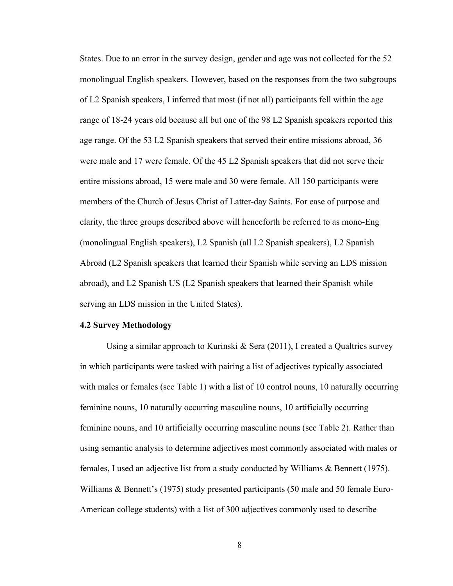States. Due to an error in the survey design, gender and age was not collected for the 52 monolingual English speakers. However, based on the responses from the two subgroups of L2 Spanish speakers, I inferred that most (if not all) participants fell within the age range of 18-24 years old because all but one of the 98 L2 Spanish speakers reported this age range. Of the 53 L2 Spanish speakers that served their entire missions abroad, 36 were male and 17 were female. Of the 45 L2 Spanish speakers that did not serve their entire missions abroad, 15 were male and 30 were female. All 150 participants were members of the Church of Jesus Christ of Latter-day Saints. For ease of purpose and clarity, the three groups described above will henceforth be referred to as mono-Eng (monolingual English speakers), L2 Spanish (all L2 Spanish speakers), L2 Spanish Abroad (L2 Spanish speakers that learned their Spanish while serving an LDS mission abroad), and L2 Spanish US (L2 Spanish speakers that learned their Spanish while serving an LDS mission in the United States).

# **4.2 Survey Methodology**

Using a similar approach to Kurinski  $\&$  Sera (2011), I created a Qualtrics survey in which participants were tasked with pairing a list of adjectives typically associated with males or females (see Table 1) with a list of 10 control nouns, 10 naturally occurring feminine nouns, 10 naturally occurring masculine nouns, 10 artificially occurring feminine nouns, and 10 artificially occurring masculine nouns (see Table 2). Rather than using semantic analysis to determine adjectives most commonly associated with males or females, I used an adjective list from a study conducted by Williams & Bennett (1975). Williams & Bennett's (1975) study presented participants (50 male and 50 female Euro-American college students) with a list of 300 adjectives commonly used to describe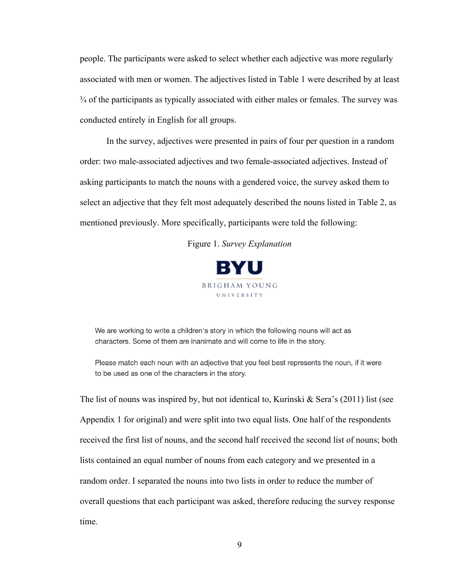people. The participants were asked to select whether each adjective was more regularly associated with men or women. The adjectives listed in Table 1 were described by at least ¾ of the participants as typically associated with either males or females. The survey was conducted entirely in English for all groups.

In the survey, adjectives were presented in pairs of four per question in a random order: two male-associated adjectives and two female-associated adjectives. Instead of asking participants to match the nouns with a gendered voice, the survey asked them to select an adjective that they felt most adequately described the nouns listed in Table 2, as mentioned previously. More specifically, participants were told the following:

Figure 1. *Survey Explanation*



We are working to write a children's story in which the following nouns will act as characters. Some of them are inanimate and will come to life in the story.

Please match each noun with an adjective that you feel best represents the noun, if it were to be used as one of the characters in the story.

The list of nouns was inspired by, but not identical to, Kurinski & Sera's  $(2011)$  list (see Appendix 1 for original) and were split into two equal lists. One half of the respondents received the first list of nouns, and the second half received the second list of nouns; both lists contained an equal number of nouns from each category and we presented in a random order. I separated the nouns into two lists in order to reduce the number of overall questions that each participant was asked, therefore reducing the survey response time.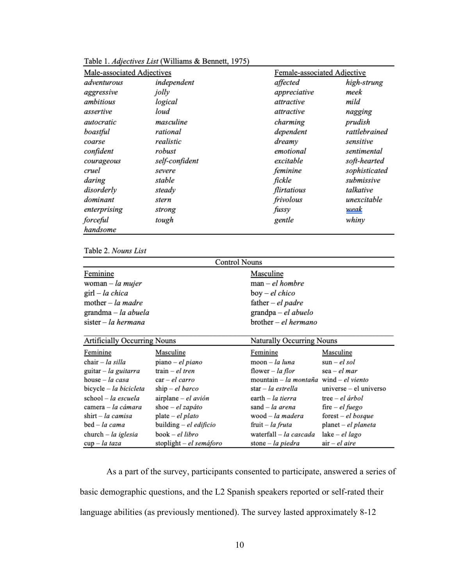| Male-associated Adjectives |                | Female-associated Adjective |               |
|----------------------------|----------------|-----------------------------|---------------|
| adventurous                | independent    | affected                    | high-strung   |
| aggressive                 | jolly          | appreciative                | meek          |
| ambitious                  | logical        | attractive                  | mild          |
| assertive                  | loud           | attractive                  | nagging       |
| autocratic                 | masculine      | charming                    | prudish       |
| boastful                   | rational       | dependent                   | rattlebrained |
| coarse                     | realistic      | dreamy                      | sensitive     |
| confident                  | robust         | emotional                   | sentimental   |
| courageous                 | self-confident | excitable                   | soft-hearted  |
| cruel                      | severe         | feminine                    | sophisticated |
| daring                     | stable         | fickle                      | submissive    |
| disorderly                 | steady         | flirtatious                 | talkative     |
| dominant                   | stern          | frivolous                   | unexcitable   |
| enterprising               | strong         | fussy                       | <u>weak</u>   |
| forceful                   | tough          | gentle                      | whiny         |
| handsome                   |                |                             |               |

Table 1. Adjectives List (Williams & Bennett, 1975)

Table 2. Nouns List

| <b>Control Nouns</b>               |                         |                                        |                          |  |
|------------------------------------|-------------------------|----------------------------------------|--------------------------|--|
| Feminine                           |                         | Masculine                              |                          |  |
| woman – la mujer                   |                         | $man$ – el hombre                      |                          |  |
| $\text{girl}-la chica$             |                         | boy – el chico                         |                          |  |
| mother $-$ la madre                |                         | father $-e$ l padre                    |                          |  |
| grandma $-$ la abuela              |                         | grandpa - el abuelo                    |                          |  |
| sister – la hermana                |                         | brother - el hermano                   |                          |  |
|                                    |                         |                                        |                          |  |
| Artificially Occurring Nouns       |                         | Naturally Occurring Nouns              |                          |  |
| Feminine                           | Masculine               | Feminine                               | Masculine                |  |
| $chair - la silla$                 | piano – el piano        | $moon - la luna$                       | $\sin$ – el sol          |  |
| guitar $-$ la guitarra             | train $-e$ l tren       | flower – la flor                       | $sea$ – el mar           |  |
| house $-$ la casa                  | $car$ – el carro        | mountain – la montaña wind – el viento |                          |  |
| bicycle - la bicicleta             | $ship$ – el barco       | star – la estrella                     | $universe - el universo$ |  |
| $school - la escuela$              | airplane - el avión     | earth $- la$ tierra                    | $tree$ – el árbol        |  |
| camera – la cámara                 | shoe $-e$ l zapáto      | sand $-$ la arena                      | fire $-$ <i>el fuego</i> |  |
| $\text{shift} - la \text{ camisa}$ | $plate$ – el plato      | wood – la madera                       | $forest$ – el bosque     |  |
| bed – la cama                      | building – el edificio  | fruit – la fruta                       | planet – el planeta      |  |
| $church - la iglesia$              | book – el libro         | waterfall - la cascada                 | $lake$ – el lago         |  |
| $cup - la taza$                    | stoplight - el semáforo | stone - la piedra                      | $air$ – el aire          |  |

As a part of the survey, participants consented to participate, answered a series of basic demographic questions, and the L2 Spanish speakers reported or self-rated their language abilities (as previously mentioned). The survey lasted approximately 8-12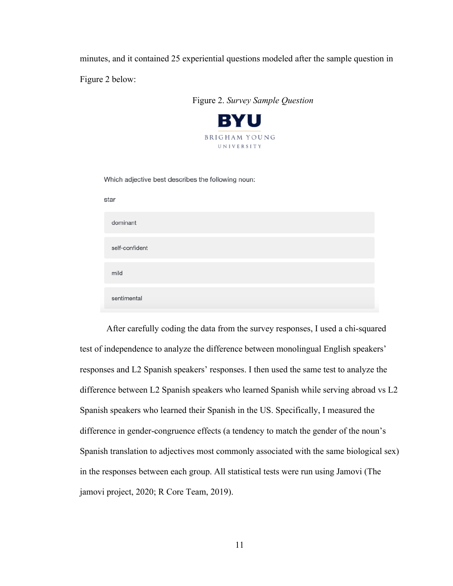minutes, and it contained 25 experiential questions modeled after the sample question in

Figure 2 below:

|      | Figure 2. Survey Sample Question                   |
|------|----------------------------------------------------|
|      | <b>BYU</b>                                         |
|      | <b>BRIGHAM YOUNG</b><br>UNIVERSITY                 |
|      | Which adjective best describes the following noun: |
| star |                                                    |
|      | dominant                                           |
|      | self-confident                                     |
| mild |                                                    |
|      | sentimental                                        |
|      |                                                    |

After carefully coding the data from the survey responses, I used a chi-squared test of independence to analyze the difference between monolingual English speakers' responses and L2 Spanish speakers' responses. I then used the same test to analyze the difference between L2 Spanish speakers who learned Spanish while serving abroad vs L2 Spanish speakers who learned their Spanish in the US. Specifically, I measured the difference in gender-congruence effects (a tendency to match the gender of the noun's Spanish translation to adjectives most commonly associated with the same biological sex) in the responses between each group. All statistical tests were run using Jamovi (The jamovi project, 2020; R Core Team, 2019).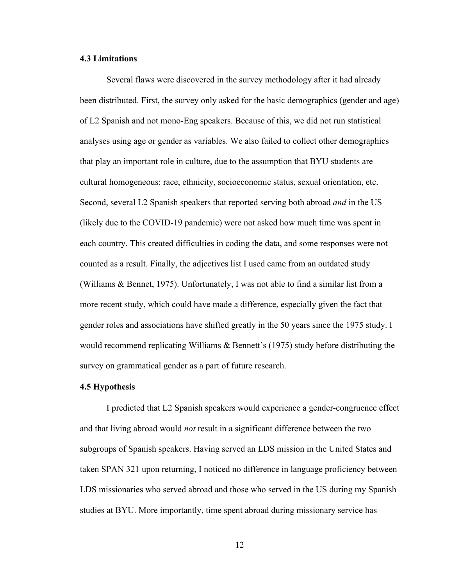# **4.3 Limitations**

Several flaws were discovered in the survey methodology after it had already been distributed. First, the survey only asked for the basic demographics (gender and age) of L2 Spanish and not mono-Eng speakers. Because of this, we did not run statistical analyses using age or gender as variables. We also failed to collect other demographics that play an important role in culture, due to the assumption that BYU students are cultural homogeneous: race, ethnicity, socioeconomic status, sexual orientation, etc. Second, several L2 Spanish speakers that reported serving both abroad *and* in the US (likely due to the COVID-19 pandemic) were not asked how much time was spent in each country. This created difficulties in coding the data, and some responses were not counted as a result. Finally, the adjectives list I used came from an outdated study (Williams & Bennet, 1975). Unfortunately, I was not able to find a similar list from a more recent study, which could have made a difference, especially given the fact that gender roles and associations have shifted greatly in the 50 years since the 1975 study. I would recommend replicating Williams & Bennett's (1975) study before distributing the survey on grammatical gender as a part of future research.

# **4.5 Hypothesis**

I predicted that L2 Spanish speakers would experience a gender-congruence effect and that living abroad would *not* result in a significant difference between the two subgroups of Spanish speakers. Having served an LDS mission in the United States and taken SPAN 321 upon returning, I noticed no difference in language proficiency between LDS missionaries who served abroad and those who served in the US during my Spanish studies at BYU. More importantly, time spent abroad during missionary service has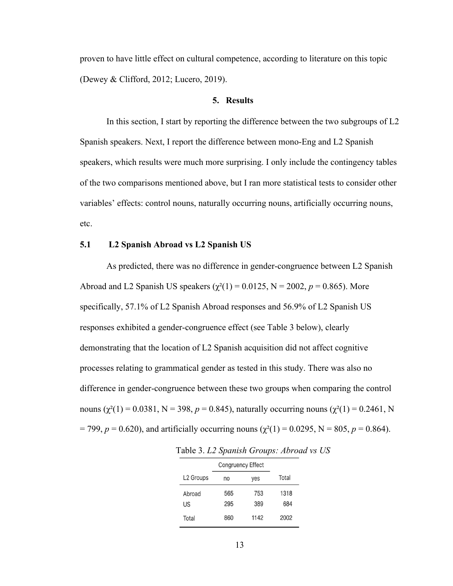proven to have little effect on cultural competence, according to literature on this topic (Dewey & Clifford, 2012; Lucero, 2019).

#### **5. Results**

In this section, I start by reporting the difference between the two subgroups of L2 Spanish speakers. Next, I report the difference between mono-Eng and L2 Spanish speakers, which results were much more surprising. I only include the contingency tables of the two comparisons mentioned above, but I ran more statistical tests to consider other variables' effects: control nouns, naturally occurring nouns, artificially occurring nouns, etc.

# **5.1 L2 Spanish Abroad vs L2 Spanish US**

As predicted, there was no difference in gender-congruence between L2 Spanish Abroad and L2 Spanish US speakers  $(\chi^2(1) = 0.0125, N = 2002, p = 0.865)$ . More specifically, 57.1% of L2 Spanish Abroad responses and 56.9% of L2 Spanish US responses exhibited a gender-congruence effect (see Table 3 below), clearly demonstrating that the location of L2 Spanish acquisition did not affect cognitive processes relating to grammatical gender as tested in this study. There was also no difference in gender-congruence between these two groups when comparing the control nouns  $(\chi^2(1) = 0.0381, N = 398, p = 0.845)$ , naturally occurring nouns  $(\chi^2(1) = 0.2461, N$  $= 799, p = 0.620$ , and artificially occurring nouns ( $\chi^2(1) = 0.0295$ , N = 805, p = 0.864).

|                       | <b>Congruency Effect</b> |      |       |
|-----------------------|--------------------------|------|-------|
| L <sub>2</sub> Groups | no                       | yes  | Total |
| Abroad                | 565                      | 753  | 1318  |
| US                    | 295                      | 389  | 684   |
| Total                 | 860                      | 1142 | 2002  |

Table 3. *L2 Spanish Groups: Abroad vs US*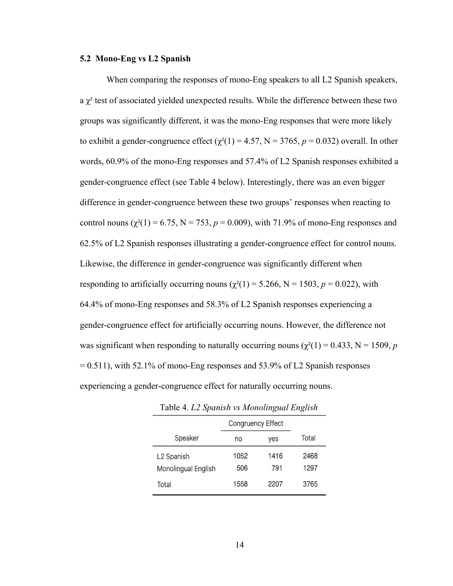#### **5.2 Mono-Eng vs L2 Spanish**

When comparing the responses of mono-Eng speakers to all L2 Spanish speakers, a  $\chi^2$  test of associated yielded unexpected results. While the difference between these two groups was significantly different, it was the mono-Eng responses that were more likely to exhibit a gender-congruence effect  $(\chi^2(1) = 4.57, N = 3765, p = 0.032)$  overall. In other words, 60.9% of the mono-Eng responses and 57.4% of L2 Spanish responses exhibited a gender-congruence effect (see Table 4 below). Interestingly, there was an even bigger difference in gender-congruence between these two groups' responses when reacting to control nouns  $(\chi^2(1) = 6.75, N = 753, p = 0.009)$ , with 71.9% of mono-Eng responses and 62.5% of L2 Spanish responses illustrating a gender-congruence effect for control nouns. Likewise, the difference in gender-congruence was significantly different when responding to artificially occurring nouns  $(\chi^2(1) = 5.266, N = 1503, p = 0.022)$ , with 64.4% of mono-Eng responses and 58.3% of L2 Spanish responses experiencing a gender-congruence effect for artificially occurring nouns. However, the difference not was significant when responding to naturally occurring nouns ( $\chi^2(1) = 0.433$ , N = 1509, *p*  $= 0.511$ ), with 52.1% of mono-Eng responses and 53.9% of L2 Spanish responses experiencing a gender-congruence effect for naturally occurring nouns.

|                        | <b>Congruency Effect</b> |      |       |
|------------------------|--------------------------|------|-------|
| Speaker                | no                       | yes  | Total |
| L <sub>2</sub> Spanish | 1052                     | 1416 | 2468  |
| Monolingual English    | 506                      | 791  | 1297  |
| Total                  | 1558                     | 2207 | 3765  |

Table 4. *L2 Spanish vs Monolingual English*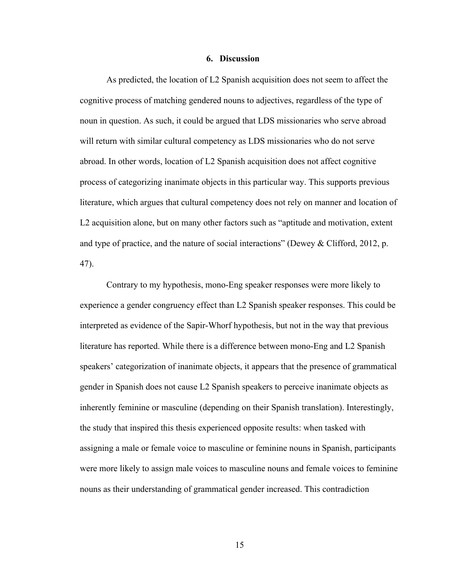### **6. Discussion**

As predicted, the location of L2 Spanish acquisition does not seem to affect the cognitive process of matching gendered nouns to adjectives, regardless of the type of noun in question. As such, it could be argued that LDS missionaries who serve abroad will return with similar cultural competency as LDS missionaries who do not serve abroad. In other words, location of L2 Spanish acquisition does not affect cognitive process of categorizing inanimate objects in this particular way. This supports previous literature, which argues that cultural competency does not rely on manner and location of L2 acquisition alone, but on many other factors such as "aptitude and motivation, extent and type of practice, and the nature of social interactions" (Dewey & Clifford, 2012, p. 47).

Contrary to my hypothesis, mono-Eng speaker responses were more likely to experience a gender congruency effect than L2 Spanish speaker responses. This could be interpreted as evidence of the Sapir-Whorf hypothesis, but not in the way that previous literature has reported. While there is a difference between mono-Eng and L2 Spanish speakers' categorization of inanimate objects, it appears that the presence of grammatical gender in Spanish does not cause L2 Spanish speakers to perceive inanimate objects as inherently feminine or masculine (depending on their Spanish translation). Interestingly, the study that inspired this thesis experienced opposite results: when tasked with assigning a male or female voice to masculine or feminine nouns in Spanish, participants were more likely to assign male voices to masculine nouns and female voices to feminine nouns as their understanding of grammatical gender increased. This contradiction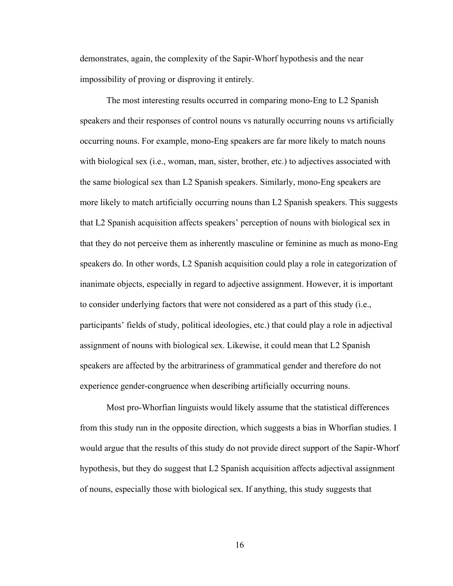demonstrates, again, the complexity of the Sapir-Whorf hypothesis and the near impossibility of proving or disproving it entirely.

The most interesting results occurred in comparing mono-Eng to L2 Spanish speakers and their responses of control nouns vs naturally occurring nouns vs artificially occurring nouns. For example, mono-Eng speakers are far more likely to match nouns with biological sex (i.e., woman, man, sister, brother, etc.) to adjectives associated with the same biological sex than L2 Spanish speakers. Similarly, mono-Eng speakers are more likely to match artificially occurring nouns than L2 Spanish speakers. This suggests that L2 Spanish acquisition affects speakers' perception of nouns with biological sex in that they do not perceive them as inherently masculine or feminine as much as mono-Eng speakers do. In other words, L2 Spanish acquisition could play a role in categorization of inanimate objects, especially in regard to adjective assignment. However, it is important to consider underlying factors that were not considered as a part of this study (i.e., participants' fields of study, political ideologies, etc.) that could play a role in adjectival assignment of nouns with biological sex. Likewise, it could mean that L2 Spanish speakers are affected by the arbitrariness of grammatical gender and therefore do not experience gender-congruence when describing artificially occurring nouns.

Most pro-Whorfian linguists would likely assume that the statistical differences from this study run in the opposite direction, which suggests a bias in Whorfian studies. I would argue that the results of this study do not provide direct support of the Sapir-Whorf hypothesis, but they do suggest that L2 Spanish acquisition affects adjectival assignment of nouns, especially those with biological sex. If anything, this study suggests that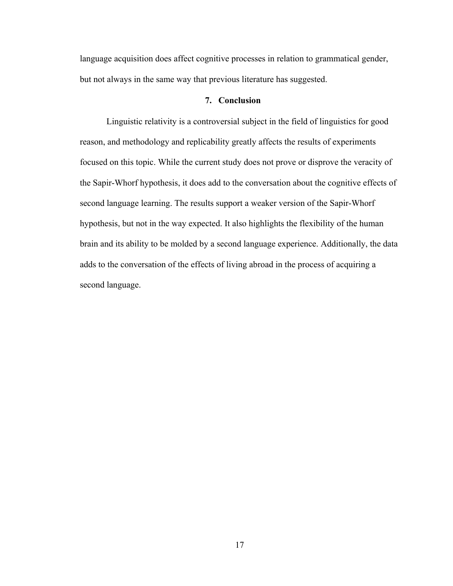language acquisition does affect cognitive processes in relation to grammatical gender, but not always in the same way that previous literature has suggested.

### **7. Conclusion**

Linguistic relativity is a controversial subject in the field of linguistics for good reason, and methodology and replicability greatly affects the results of experiments focused on this topic. While the current study does not prove or disprove the veracity of the Sapir-Whorf hypothesis, it does add to the conversation about the cognitive effects of second language learning. The results support a weaker version of the Sapir-Whorf hypothesis, but not in the way expected. It also highlights the flexibility of the human brain and its ability to be molded by a second language experience. Additionally, the data adds to the conversation of the effects of living abroad in the process of acquiring a second language.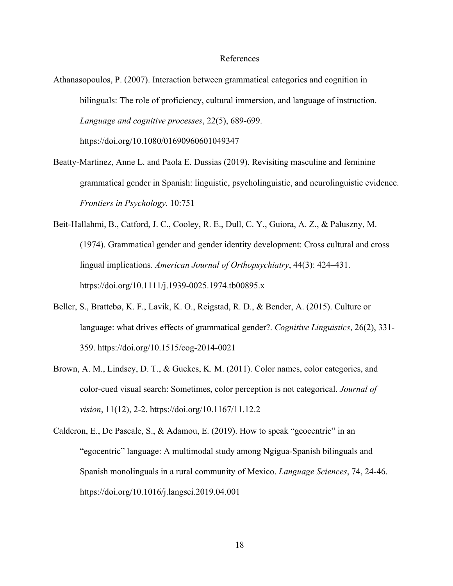#### References

- Athanasopoulos, P. (2007). Interaction between grammatical categories and cognition in bilinguals: The role of proficiency, cultural immersion, and language of instruction. *Language and cognitive processes*, 22(5), 689-699. https://doi.org/10.1080/01690960601049347
- Beatty-Martinez, Anne L. and Paola E. Dussias (2019). Revisiting masculine and feminine grammatical gender in Spanish: linguistic, psycholinguistic, and neurolinguistic evidence. *Frontiers in Psychology.* 10:751
- Beit-Hallahmi, B., Catford, J. C., Cooley, R. E., Dull, C. Y., Guiora, A. Z., & Paluszny, M. (1974). Grammatical gender and gender identity development: Cross cultural and cross lingual implications. *American Journal of Orthopsychiatry*, 44(3): 424–431. https://doi.org/10.1111/j.1939-0025.1974.tb00895.x
- Beller, S., Brattebø, K. F., Lavik, K. O., Reigstad, R. D., & Bender, A. (2015). Culture or language: what drives effects of grammatical gender?. *Cognitive Linguistics*, 26(2), 331- 359. https://doi.org/10.1515/cog-2014-0021
- Brown, A. M., Lindsey, D. T., & Guckes, K. M. (2011). Color names, color categories, and color-cued visual search: Sometimes, color perception is not categorical. *Journal of vision*, 11(12), 2-2. https://doi.org/10.1167/11.12.2
- Calderon, E., De Pascale, S., & Adamou, E. (2019). How to speak "geocentric" in an "egocentric" language: A multimodal study among Ngigua-Spanish bilinguals and Spanish monolinguals in a rural community of Mexico. *Language Sciences*, 74, 24-46. https://doi.org/10.1016/j.langsci.2019.04.001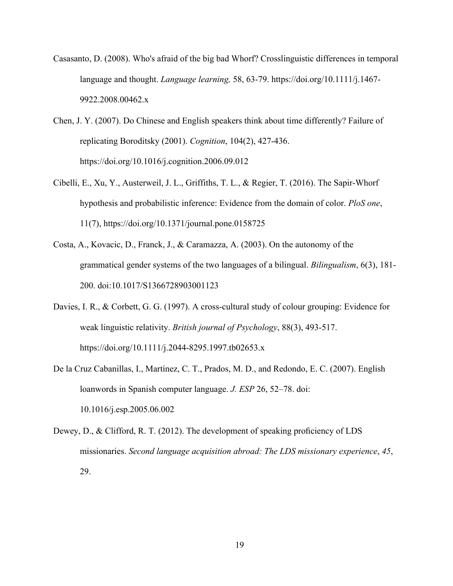- Casasanto, D. (2008). Who's afraid of the big bad Whorf? Crosslinguistic differences in temporal language and thought. *Language learning,* 58, 63-79. https://doi.org/10.1111/j.1467- 9922.2008.00462.x
- Chen, J. Y. (2007). Do Chinese and English speakers think about time differently? Failure of replicating Boroditsky (2001). *Cognition*, 104(2), 427-436. https://doi.org/10.1016/j.cognition.2006.09.012
- Cibelli, E., Xu, Y., Austerweil, J. L., Griffiths, T. L., & Regier, T. (2016). The Sapir-Whorf hypothesis and probabilistic inference: Evidence from the domain of color. *PloS one*, 11(7), https://doi.org/10.1371/journal.pone.0158725
- Costa, A., Kovacic, D., Franck, J., & Caramazza, A. (2003). On the autonomy of the grammatical gender systems of the two languages of a bilingual. *Bilingualism*, 6(3), 181- 200. doi:10.1017/S1366728903001123
- Davies, I. R., & Corbett, G. G. (1997). A cross-cultural study of colour grouping: Evidence for weak linguistic relativity. *British journal of Psychology*, 88(3), 493-517. https://doi.org/10.1111/j.2044-8295.1997.tb02653.x
- De la Cruz Cabanillas, I., Martínez, C. T., Prados, M. D., and Redondo, E. C. (2007). English loanwords in Spanish computer language. *J. ESP* 26, 52–78. doi: 10.1016/j.esp.2005.06.002
- Dewey, D., & Clifford, R. T. (2012). The development of speaking proficiency of LDS missionaries. *Second language acquisition abroad: The LDS missionary experience*, *45*, 29.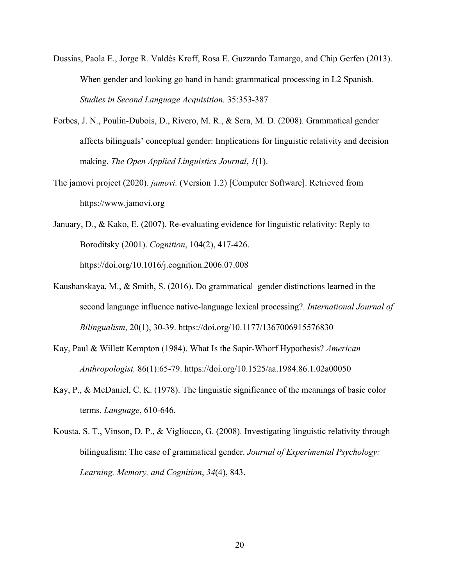- Dussias, Paola E., Jorge R. Valdés Kroff, Rosa E. Guzzardo Tamargo, and Chip Gerfen (2013). When gender and looking go hand in hand: grammatical processing in L2 Spanish. *Studies in Second Language Acquisition.* 35:353-387
- Forbes, J. N., Poulin-Dubois, D., Rivero, M. R., & Sera, M. D. (2008). Grammatical gender affects bilinguals' conceptual gender: Implications for linguistic relativity and decision making. *The Open Applied Linguistics Journal*, *1*(1).
- The jamovi project (2020). *jamovi.* (Version 1.2) [Computer Software]. Retrieved from https://www.jamovi.org
- January, D., & Kako, E. (2007). Re-evaluating evidence for linguistic relativity: Reply to Boroditsky (2001). *Cognition*, 104(2), 417-426. https://doi.org/10.1016/j.cognition.2006.07.008
- Kaushanskaya, M., & Smith, S. (2016). Do grammatical–gender distinctions learned in the second language influence native-language lexical processing?. *International Journal of Bilingualism*, 20(1), 30-39. https://doi.org/10.1177/1367006915576830
- Kay, Paul & Willett Kempton (1984). What Is the Sapir‐Whorf Hypothesis? *American Anthropologist.* 86(1):65-79. https://doi.org/10.1525/aa.1984.86.1.02a00050
- Kay, P., & McDaniel, C. K. (1978). The linguistic significance of the meanings of basic color terms. *Language*, 610-646.
- Kousta, S. T., Vinson, D. P., & Vigliocco, G. (2008). Investigating linguistic relativity through bilingualism: The case of grammatical gender. *Journal of Experimental Psychology: Learning, Memory, and Cognition*, *34*(4), 843.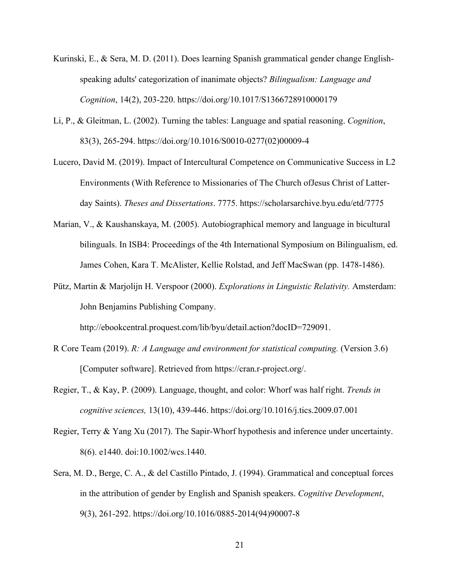- Kurinski, E., & Sera, M. D. (2011). Does learning Spanish grammatical gender change Englishspeaking adults' categorization of inanimate objects? *Bilingualism: Language and Cognition*, 14(2), 203-220. https://doi.org/10.1017/S1366728910000179
- Li, P., & Gleitman, L. (2002). Turning the tables: Language and spatial reasoning. *Cognition*, 83(3), 265-294. https://doi.org/10.1016/S0010-0277(02)00009-4
- Lucero, David M. (2019). Impact of Intercultural Competence on Communicative Success in L2 Environments (With Reference to Missionaries of The Church ofJesus Christ of Latterday Saints). *Theses and Dissertations*. 7775. https://scholarsarchive.byu.edu/etd/7775
- Marian, V., & Kaushanskaya, M. (2005). Autobiographical memory and language in bicultural bilinguals. In ISB4: Proceedings of the 4th International Symposium on Bilingualism, ed. James Cohen, Kara T. McAlister, Kellie Rolstad, and Jeff MacSwan (pp. 1478-1486).
- Pütz, Martin & Marjolijn H. Verspoor (2000). *Explorations in Linguistic Relativity.* Amsterdam: John Benjamins Publishing Company.

http://ebookcentral.proquest.com/lib/byu/detail.action?docID=729091.

- R Core Team (2019). *R: A Language and environment for statistical computing.* (Version 3.6) [Computer software]. Retrieved from https://cran.r-project.org/.
- Regier, T., & Kay, P. (2009). Language, thought, and color: Whorf was half right. *Trends in cognitive sciences,* 13(10), 439-446. https://doi.org/10.1016/j.tics.2009.07.001
- Regier, Terry & Yang Xu (2017). The Sapir-Whorf hypothesis and inference under uncertainty. 8(6). e1440. doi:10.1002/wcs.1440.
- Sera, M. D., Berge, C. A., & del Castillo Pintado, J. (1994). Grammatical and conceptual forces in the attribution of gender by English and Spanish speakers. *Cognitive Development*, 9(3), 261-292. https://doi.org/10.1016/0885-2014(94)90007-8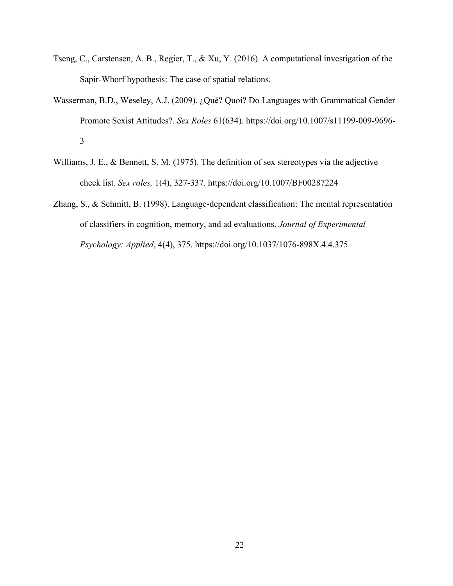- Tseng, C., Carstensen, A. B., Regier, T., & Xu, Y. (2016). A computational investigation of the Sapir-Whorf hypothesis: The case of spatial relations.
- Wasserman, B.D., Weseley, A.J. (2009). ¿Qué? Quoi? Do Languages with Grammatical Gender Promote Sexist Attitudes?. *Sex Roles* 61(634). https://doi.org/10.1007/s11199-009-9696- 3
- Williams, J. E., & Bennett, S. M. (1975). The definition of sex stereotypes via the adjective check list. *Sex roles,* 1(4), 327-337. https://doi.org/10.1007/BF00287224
- Zhang, S., & Schmitt, B. (1998). Language-dependent classification: The mental representation of classifiers in cognition, memory, and ad evaluations. *Journal of Experimental Psychology: Applied*, 4(4), 375. https://doi.org/10.1037/1076-898X.4.4.375